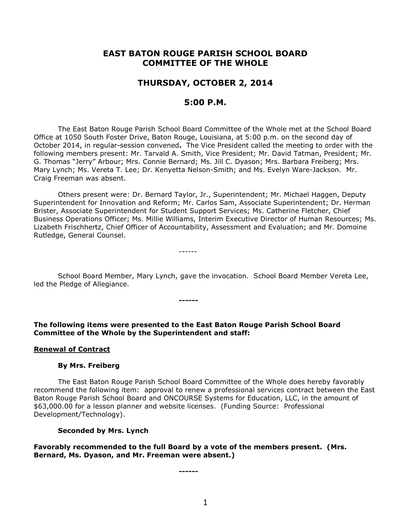# **EAST BATON ROUGE PARISH SCHOOL BOARD COMMITTEE OF THE WHOLE**

# **THURSDAY, OCTOBER 2, 2014**

# **5:00 P.M.**

The East Baton Rouge Parish School Board Committee of the Whole met at the School Board Office at 1050 South Foster Drive, Baton Rouge, Louisiana, at 5:00 p.m. on the second day of October 2014, in regular-session convened**.** The Vice President called the meeting to order with the following members present: Mr. Tarvald A. Smith, Vice President; Mr. David Tatman, President; Mr. G. Thomas "Jerry" Arbour; Mrs. Connie Bernard; Ms. Jill C. Dyason; Mrs. Barbara Freiberg; Mrs. Mary Lynch; Ms. Vereta T. Lee; Dr. Kenyetta Nelson-Smith; and Ms. Evelyn Ware-Jackson. Mr. Craig Freeman was absent.

Others present were: Dr. Bernard Taylor, Jr., Superintendent; Mr. Michael Haggen, Deputy Superintendent for Innovation and Reform; Mr. Carlos Sam, Associate Superintendent; Dr. Herman Brister, Associate Superintendent for Student Support Services; Ms. Catherine Fletcher, Chief Business Operations Officer; Ms. Millie Williams, Interim Executive Director of Human Resources; Ms. Lizabeth Frischhertz, Chief Officer of Accountability, Assessment and Evaluation; and Mr. Domoine Rutledge, General Counsel.

------

School Board Member, Mary Lynch, gave the invocation. School Board Member Vereta Lee, led the Pledge of Allegiance.

**The following items were presented to the East Baton Rouge Parish School Board Committee of the Whole by the Superintendent and staff:**

**------**

### **Renewal of Contract**

### **By Mrs. Freiberg**

The East Baton Rouge Parish School Board Committee of the Whole does hereby favorably recommend the following item: approval to renew a professional services contract between the East Baton Rouge Parish School Board and ONCOURSE Systems for Education, LLC, in the amount of \$63,000.00 for a lesson planner and website licenses. (Funding Source: Professional Development/Technology).

### **Seconded by Mrs. Lynch**

**Favorably recommended to the full Board by a vote of the members present. (Mrs. Bernard, Ms. Dyason, and Mr. Freeman were absent.)**

**------**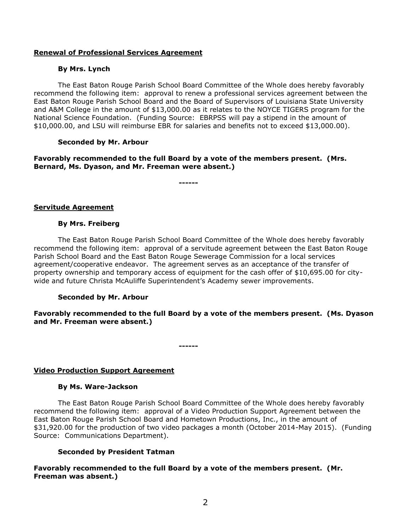# **Renewal of Professional Services Agreement**

## **By Mrs. Lynch**

The East Baton Rouge Parish School Board Committee of the Whole does hereby favorably recommend the following item: approval to renew a professional services agreement between the East Baton Rouge Parish School Board and the Board of Supervisors of Louisiana State University and A&M College in the amount of \$13,000.00 as it relates to the NOYCE TIGERS program for the National Science Foundation. (Funding Source: EBRPSS will pay a stipend in the amount of \$10,000.00, and LSU will reimburse EBR for salaries and benefits not to exceed \$13,000.00).

# **Seconded by Mr. Arbour**

**Favorably recommended to the full Board by a vote of the members present. (Mrs. Bernard, Ms. Dyason, and Mr. Freeman were absent.)**

**------**

## **Servitude Agreement**

## **By Mrs. Freiberg**

The East Baton Rouge Parish School Board Committee of the Whole does hereby favorably recommend the following item: approval of a servitude agreement between the East Baton Rouge Parish School Board and the East Baton Rouge Sewerage Commission for a local services agreement/cooperative endeavor. The agreement serves as an acceptance of the transfer of property ownership and temporary access of equipment for the cash offer of \$10,695.00 for citywide and future Christa McAuliffe Superintendent's Academy sewer improvements.

# **Seconded by Mr. Arbour**

**Favorably recommended to the full Board by a vote of the members present. (Ms. Dyason and Mr. Freeman were absent.)**

**------**

# **Video Production Support Agreement**

### **By Ms. Ware-Jackson**

The East Baton Rouge Parish School Board Committee of the Whole does hereby favorably recommend the following item: approval of a Video Production Support Agreement between the East Baton Rouge Parish School Board and Hometown Productions, Inc., in the amount of \$31,920.00 for the production of two video packages a month (October 2014-May 2015). (Funding Source: Communications Department).

# **Seconded by President Tatman**

**Favorably recommended to the full Board by a vote of the members present. (Mr. Freeman was absent.)**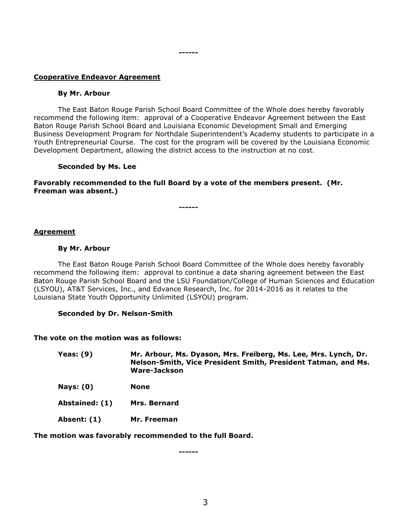#### **------**

# **Cooperative Endeavor Agreement**

### **By Mr. Arbour**

The East Baton Rouge Parish School Board Committee of the Whole does hereby favorably recommend the following item: approval of a Cooperative Endeavor Agreement between the East Baton Rouge Parish School Board and Louisiana Economic Development Small and Emerging Business Development Program for Northdale Superintendent's Academy students to participate in a Youth Entrepreneurial Course. The cost for the program will be covered by the Louisiana Economic Development Department, allowing the district access to the instruction at no cost.

## **Seconded by Ms. Lee**

**Favorably recommended to the full Board by a vote of the members present. (Mr. Freeman was absent.)**

**------**

## **Agreement**

### **By Mr. Arbour**

The East Baton Rouge Parish School Board Committee of the Whole does hereby favorably recommend the following item: approval to continue a data sharing agreement between the East Baton Rouge Parish School Board and the LSU Foundation/College of Human Sciences and Education (LSYOU), AT&T Services, Inc., and Edvance Research, Inc. for 2014-2016 as it relates to the Louisiana State Youth Opportunity Unlimited (LSYOU) program.

### **Seconded by Dr. Nelson-Smith**

### **The vote on the motion was as follows:**

| Yeas: $(9)$    | Mr. Arbour, Ms. Dyason, Mrs. Freiberg, Ms. Lee, Mrs. Lynch, Dr.<br>Nelson-Smith, Vice President Smith, President Tatman, and Ms.<br>Ware-Jackson |
|----------------|--------------------------------------------------------------------------------------------------------------------------------------------------|
| Nays: $(0)$    | <b>None</b>                                                                                                                                      |
| Abstained: (1) | Mrs. Bernard                                                                                                                                     |
| Absent: (1)    | Mr. Freeman                                                                                                                                      |

**The motion was favorably recommended to the full Board.**

**------**